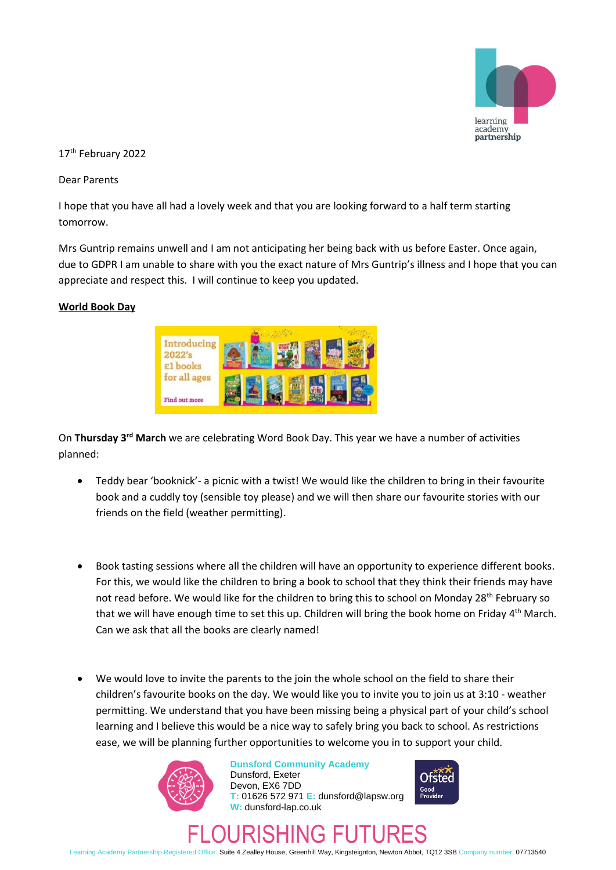

17<sup>th</sup> February 2022

Dear Parents

I hope that you have all had a lovely week and that you are looking forward to a half term starting tomorrow.

Mrs Guntrip remains unwell and I am not anticipating her being back with us before Easter. Once again, due to GDPR I am unable to share with you the exact nature of Mrs Guntrip's illness and I hope that you can appreciate and respect this. I will continue to keep you updated.

## **World Book Day**



On **Thursday 3rd March** we are celebrating Word Book Day. This year we have a number of activities planned:

- Teddy bear 'booknick'- a picnic with a twist! We would like the children to bring in their favourite book and a cuddly toy (sensible toy please) and we will then share our favourite stories with our friends on the field (weather permitting).
- Book tasting sessions where all the children will have an opportunity to experience different books. For this, we would like the children to bring a book to school that they think their friends may have not read before. We would like for the children to bring this to school on Monday 28<sup>th</sup> February so that we will have enough time to set this up. Children will bring the book home on Friday 4<sup>th</sup> March. Can we ask that all the books are clearly named!
- We would love to invite the parents to the join the whole school on the field to share their children's favourite books on the day. We would like you to invite you to join us at 3:10 - weather permitting. We understand that you have been missing being a physical part of your child's school learning and I believe this would be a nice way to safely bring you back to school. As restrictions ease, we will be planning further opportunities to welcome you in to support your child.



**Dunsford Community Academy** Dunsford, Exeter Devon, EX6 7DD **T:** 01626 572 971 **E:** dunsford@lapsw.org **W:** dunsford-lap.co.uk



# FLOURISHING FUTURES

Learning Academy Partnership Registered Office: Suite 4 Zealley House, Greenhill Way, Kingsteignton, Newton Abbot, TQ12 3SB Company number: 07713540